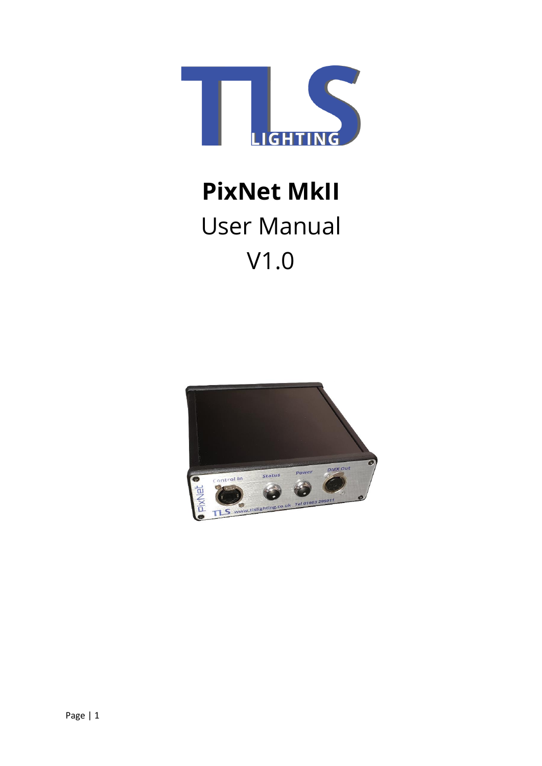

# **PixNet MkII** User Manual V1.0

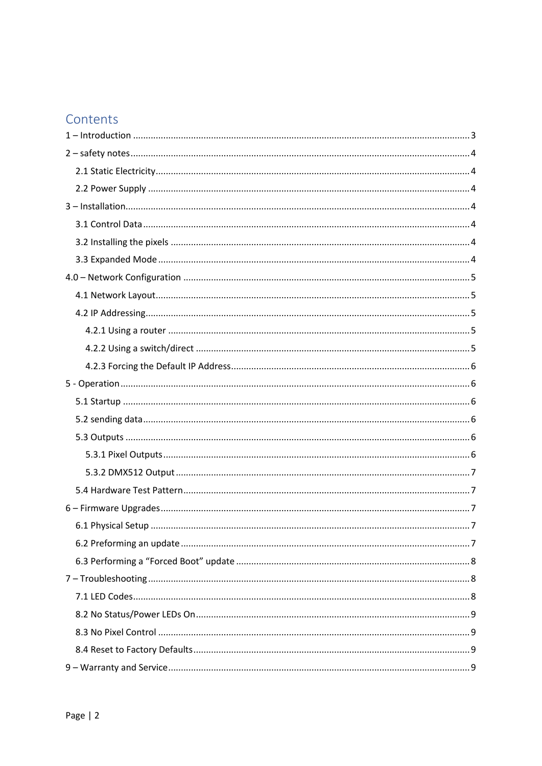# Contents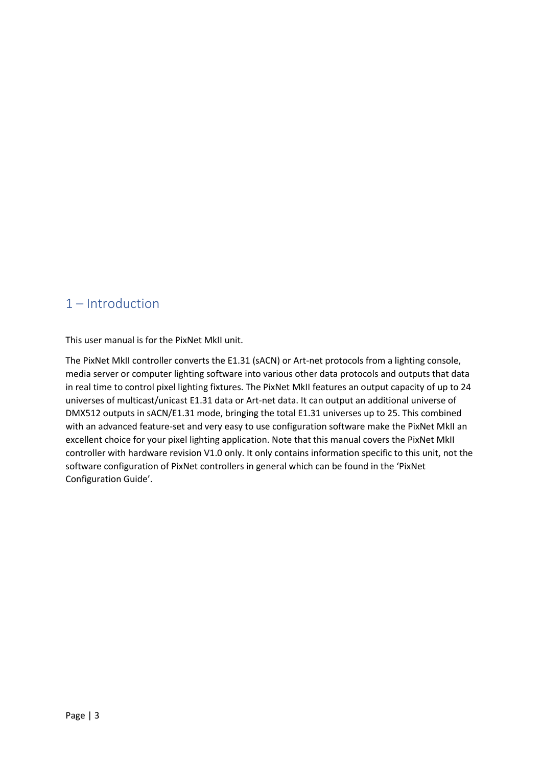# <span id="page-2-0"></span>1 – Introduction

This user manual is for the PixNet MkII unit.

The PixNet MkII controller converts the E1.31 (sACN) or Art-net protocols from a lighting console, media server or computer lighting software into various other data protocols and outputs that data in real time to control pixel lighting fixtures. The PixNet MkII features an output capacity of up to 24 universes of multicast/unicast E1.31 data or Art-net data. It can output an additional universe of DMX512 outputs in sACN/E1.31 mode, bringing the total E1.31 universes up to 25. This combined with an advanced feature-set and very easy to use configuration software make the PixNet MkII an excellent choice for your pixel lighting application. Note that this manual covers the PixNet MkII controller with hardware revision V1.0 only. It only contains information specific to this unit, not the software configuration of PixNet controllers in general which can be found in the 'PixNet Configuration Guide'.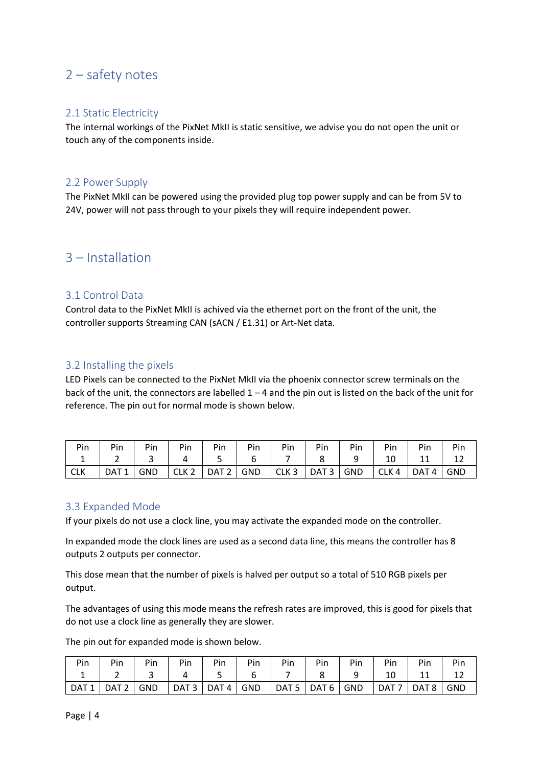## <span id="page-3-0"></span>2 – safety notes

#### <span id="page-3-1"></span>2.1 Static Electricity

The internal workings of the PixNet MkII is static sensitive, we advise you do not open the unit or touch any of the components inside.

#### <span id="page-3-2"></span>2.2 Power Supply

The PixNet MkII can be powered using the provided plug top power supply and can be from 5V to 24V, power will not pass through to your pixels they will require independent power.

### <span id="page-3-3"></span>3 – Installation

#### <span id="page-3-4"></span>3.1 Control Data

Control data to the PixNet MkII is achived via the ethernet port on the front of the unit, the controller supports Streaming CAN (sACN / E1.31) or Art-Net data.

#### <span id="page-3-5"></span>3.2 Installing the pixels

LED Pixels can be connected to the PixNet MkII via the phoenix connector screw terminals on the back of the unit, the connectors are labelled  $1 - 4$  and the pin out is listed on the back of the unit for reference. The pin out for normal mode is shown below.

| Pin             | Pin                                                                    | Pin | Pin |  | Pin   Pin   Pin   Pin   Pin | Pin | Pin | Pin |
|-----------------|------------------------------------------------------------------------|-----|-----|--|-----------------------------|-----|-----|-----|
| $1\overline{ }$ | 2   3   4   5   6   7   8   9   10   11                                |     |     |  |                             |     |     | 12  |
| I CLK           | DAT1   GND   CLK2   DAT2   GND   CLK3   DAT3   GND   CLK4   DAT4   GND |     |     |  |                             |     |     |     |

#### <span id="page-3-6"></span>3.3 Expanded Mode

If your pixels do not use a clock line, you may activate the expanded mode on the controller.

In expanded mode the clock lines are used as a second data line, this means the controller has 8 outputs 2 outputs per connector.

This dose mean that the number of pixels is halved per output so a total of 510 RGB pixels per output.

The advantages of using this mode means the refresh rates are improved, this is good for pixels that do not use a clock line as generally they are slower.

The pin out for expanded mode is shown below.

| Pin      | Pin   | Pin        | Pin                              | Pin | Pin        | Pin                   | Pin   | Pin |         | Pin     |            |
|----------|-------|------------|----------------------------------|-----|------------|-----------------------|-------|-----|---------|---------|------------|
| <b>.</b> |       |            |                                  |     |            |                       |       |     |         |         |            |
| DAT 1    | DAT 2 | <b>GND</b> | $\mid$ DAT 3 $\mid$ DAT 4 $\mid$ |     | <b>GND</b> | $\vert$ DAT 5 $\vert$ | DAT 6 | GND | l DAT 7 | I DAT 8 | <b>GND</b> |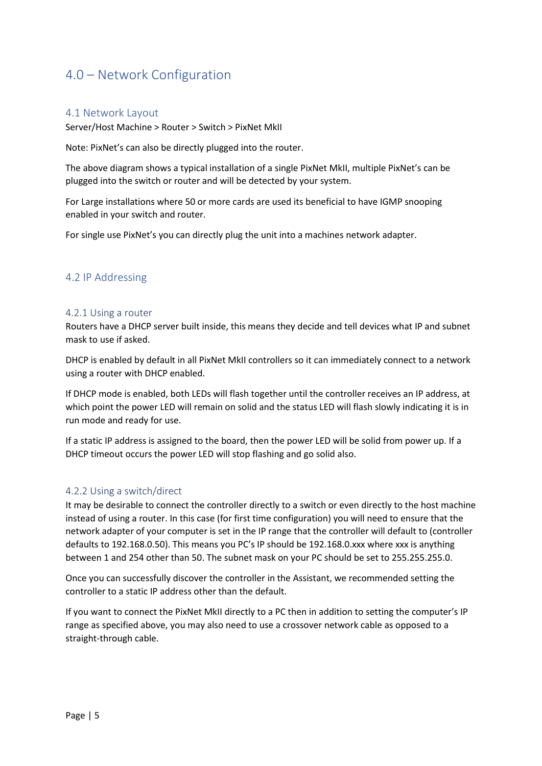## <span id="page-4-0"></span>4.0 – Network Configuration

#### <span id="page-4-1"></span>4.1 Network Layout

Server/Host Machine > Router > Switch > PixNet MkII

Note: PixNet's can also be directly plugged into the router.

The above diagram shows a typical installation of a single PixNet MkII, multiple PixNet's can be plugged into the switch or router and will be detected by your system.

For Large installations where 50 or more cards are used its beneficial to have IGMP snooping enabled in your switch and router.

For single use PixNet's you can directly plug the unit into a machines network adapter.

#### <span id="page-4-2"></span>4.2 IP Addressing

#### <span id="page-4-3"></span>4.2.1 Using a router

Routers have a DHCP server built inside, this means they decide and tell devices what IP and subnet mask to use if asked.

DHCP is enabled by default in all PixNet MkII controllers so it can immediately connect to a network using a router with DHCP enabled.

If DHCP mode is enabled, both LEDs will flash together until the controller receives an IP address, at which point the power LED will remain on solid and the status LED will flash slowly indicating it is in run mode and ready for use.

If a static IP address is assigned to the board, then the power LED will be solid from power up. If a DHCP timeout occurs the power LED will stop flashing and go solid also.

#### <span id="page-4-4"></span>4.2.2 Using a switch/direct

It may be desirable to connect the controller directly to a switch or even directly to the host machine instead of using a router. In this case (for first time configuration) you will need to ensure that the network adapter of your computer is set in the IP range that the controller will default to (controller defaults to 192.168.0.50). This means you PC's IP should be 192.168.0.xxx where xxx is anything between 1 and 254 other than 50. The subnet mask on your PC should be set to 255.255.255.0.

Once you can successfully discover the controller in the Assistant, we recommended setting the controller to a static IP address other than the default.

If you want to connect the PixNet MkII directly to a PC then in addition to setting the computer's IP range as specified above, you may also need to use a crossover network cable as opposed to a straight-through cable.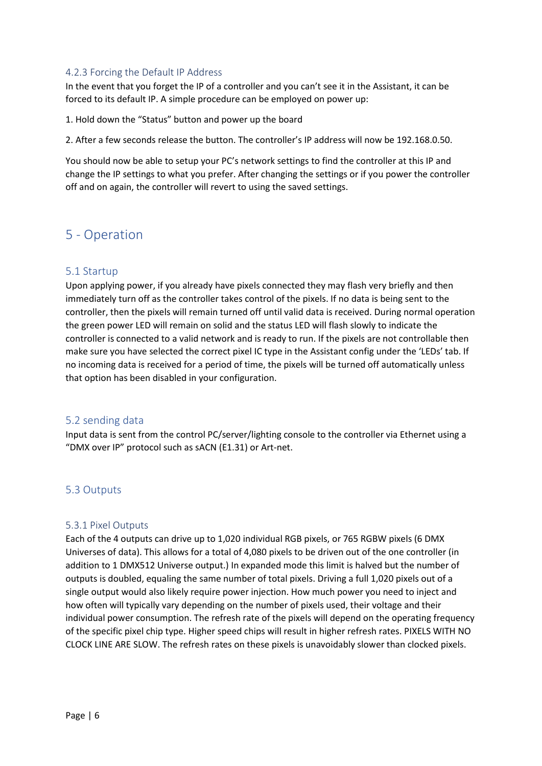#### <span id="page-5-0"></span>4.2.3 Forcing the Default IP Address

In the event that you forget the IP of a controller and you can't see it in the Assistant, it can be forced to its default IP. A simple procedure can be employed on power up:

1. Hold down the "Status" button and power up the board

2. After a few seconds release the button. The controller's IP address will now be 192.168.0.50.

You should now be able to setup your PC's network settings to find the controller at this IP and change the IP settings to what you prefer. After changing the settings or if you power the controller off and on again, the controller will revert to using the saved settings.

## <span id="page-5-1"></span>5 - Operation

#### <span id="page-5-2"></span>5.1 Startup

Upon applying power, if you already have pixels connected they may flash very briefly and then immediately turn off as the controller takes control of the pixels. If no data is being sent to the controller, then the pixels will remain turned off until valid data is received. During normal operation the green power LED will remain on solid and the status LED will flash slowly to indicate the controller is connected to a valid network and is ready to run. If the pixels are not controllable then make sure you have selected the correct pixel IC type in the Assistant config under the 'LEDs' tab. If no incoming data is received for a period of time, the pixels will be turned off automatically unless that option has been disabled in your configuration.

#### <span id="page-5-3"></span>5.2 sending data

Input data is sent from the control PC/server/lighting console to the controller via Ethernet using a "DMX over IP" protocol such as sACN (E1.31) or Art-net.

#### <span id="page-5-4"></span>5.3 Outputs

#### <span id="page-5-5"></span>5.3.1 Pixel Outputs

Each of the 4 outputs can drive up to 1,020 individual RGB pixels, or 765 RGBW pixels (6 DMX Universes of data). This allows for a total of 4,080 pixels to be driven out of the one controller (in addition to 1 DMX512 Universe output.) In expanded mode this limit is halved but the number of outputs is doubled, equaling the same number of total pixels. Driving a full 1,020 pixels out of a single output would also likely require power injection. How much power you need to inject and how often will typically vary depending on the number of pixels used, their voltage and their individual power consumption. The refresh rate of the pixels will depend on the operating frequency of the specific pixel chip type. Higher speed chips will result in higher refresh rates. PIXELS WITH NO CLOCK LINE ARE SLOW. The refresh rates on these pixels is unavoidably slower than clocked pixels.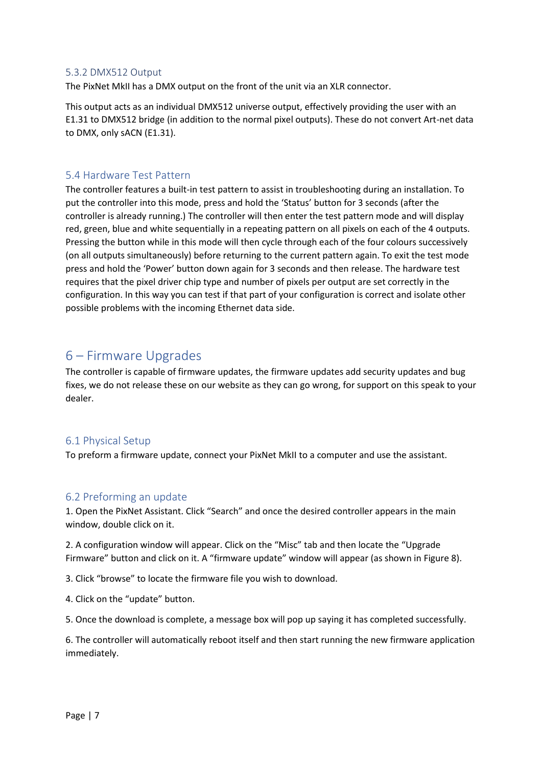#### <span id="page-6-0"></span>5.3.2 DMX512 Output

The PixNet MkII has a DMX output on the front of the unit via an XLR connector.

This output acts as an individual DMX512 universe output, effectively providing the user with an E1.31 to DMX512 bridge (in addition to the normal pixel outputs). These do not convert Art-net data to DMX, only sACN (E1.31).

#### <span id="page-6-1"></span>5.4 Hardware Test Pattern

The controller features a built-in test pattern to assist in troubleshooting during an installation. To put the controller into this mode, press and hold the 'Status' button for 3 seconds (after the controller is already running.) The controller will then enter the test pattern mode and will display red, green, blue and white sequentially in a repeating pattern on all pixels on each of the 4 outputs. Pressing the button while in this mode will then cycle through each of the four colours successively (on all outputs simultaneously) before returning to the current pattern again. To exit the test mode press and hold the 'Power' button down again for 3 seconds and then release. The hardware test requires that the pixel driver chip type and number of pixels per output are set correctly in the configuration. In this way you can test if that part of your configuration is correct and isolate other possible problems with the incoming Ethernet data side.

## <span id="page-6-2"></span>6 – Firmware Upgrades

The controller is capable of firmware updates, the firmware updates add security updates and bug fixes, we do not release these on our website as they can go wrong, for support on this speak to your dealer.

#### <span id="page-6-3"></span>6.1 Physical Setup

To preform a firmware update, connect your PixNet MkII to a computer and use the assistant.

#### <span id="page-6-4"></span>6.2 Preforming an update

1. Open the PixNet Assistant. Click "Search" and once the desired controller appears in the main window, double click on it.

2. A configuration window will appear. Click on the "Misc" tab and then locate the "Upgrade Firmware" button and click on it. A "firmware update" window will appear (as shown in Figure 8).

3. Click "browse" to locate the firmware file you wish to download.

4. Click on the "update" button.

5. Once the download is complete, a message box will pop up saying it has completed successfully.

6. The controller will automatically reboot itself and then start running the new firmware application immediately.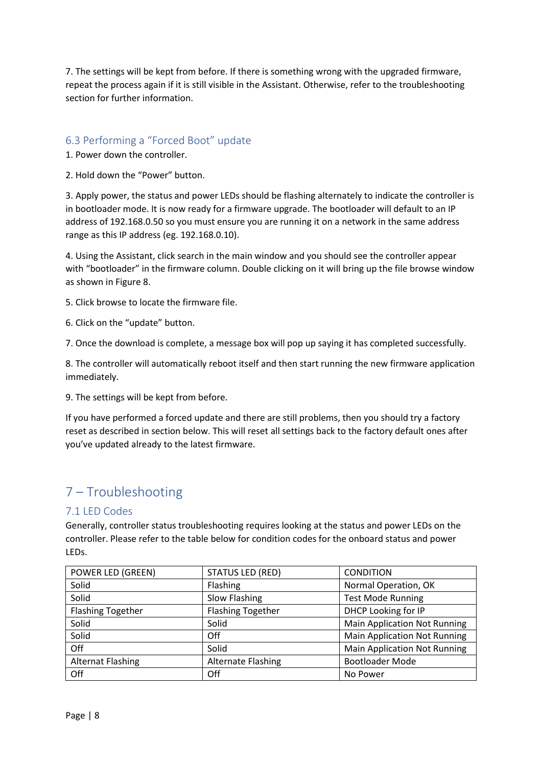7. The settings will be kept from before. If there is something wrong with the upgraded firmware, repeat the process again if it is still visible in the Assistant. Otherwise, refer to the troubleshooting section for further information.

#### <span id="page-7-0"></span>6.3 Performing a "Forced Boot" update

1. Power down the controller.

2. Hold down the "Power" button.

3. Apply power, the status and power LEDs should be flashing alternately to indicate the controller is in bootloader mode. It is now ready for a firmware upgrade. The bootloader will default to an IP address of 192.168.0.50 so you must ensure you are running it on a network in the same address range as this IP address (eg. 192.168.0.10).

4. Using the Assistant, click search in the main window and you should see the controller appear with "bootloader" in the firmware column. Double clicking on it will bring up the file browse window as shown in Figure 8.

5. Click browse to locate the firmware file.

6. Click on the "update" button.

7. Once the download is complete, a message box will pop up saying it has completed successfully.

8. The controller will automatically reboot itself and then start running the new firmware application immediately.

9. The settings will be kept from before.

If you have performed a forced update and there are still problems, then you should try a factory reset as described in section below. This will reset all settings back to the factory default ones after you've updated already to the latest firmware.

## <span id="page-7-1"></span>7 – Troubleshooting

#### <span id="page-7-2"></span>7.1 LED Codes

Generally, controller status troubleshooting requires looking at the status and power LEDs on the controller. Please refer to the table below for condition codes for the onboard status and power LEDs.

| POWER LED (GREEN)        | <b>STATUS LED (RED)</b>   | <b>CONDITION</b>                    |
|--------------------------|---------------------------|-------------------------------------|
| Solid                    | Flashing                  | Normal Operation, OK                |
| Solid                    | Slow Flashing             | <b>Test Mode Running</b>            |
| <b>Flashing Together</b> | <b>Flashing Together</b>  | DHCP Looking for IP                 |
| Solid                    | Solid                     | <b>Main Application Not Running</b> |
| Solid                    | Off                       | <b>Main Application Not Running</b> |
| Off                      | Solid                     | <b>Main Application Not Running</b> |
| <b>Alternat Flashing</b> | <b>Alternate Flashing</b> | <b>Bootloader Mode</b>              |
| Off                      | Off                       | No Power                            |